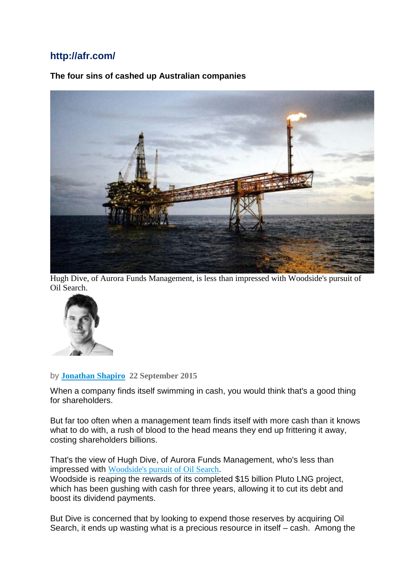### **http://afr.com/**

### **The four sins of cashed up Australian companies**



Hugh Dive, of Aurora Funds Management, is less than impressed with Woodside's pursuit of Oil Search.



#### by **[Jonathan](http://www.afr.com/markets/jonathan-shapiro-j7ge1.html) Shapiro 22 September 2015**

When a company finds itself swimming in cash, you would think that's a good thing for shareholders.

But far too often when a management team finds itself with more cash than it knows what to do with, a rush of blood to the head means they end up frittering it away, costing shareholders billions.

That's the view of Hugh Dive, of Aurora Funds Management, who's less than impressed with [Woodside's](http://www.afr.com/street-talk/woodside-weighs-23-billion-debt-raise-for-oil-search-20150920-gjqpf9) pursuit of Oil Search.

Woodside is reaping the rewards of its completed \$15 billion Pluto LNG project, which has been gushing with cash for three years, allowing it to cut its debt and boost its dividend payments.

But Dive is concerned that by looking to expend those reserves by acquiring Oil Search, it ends up wasting what is a precious resource in itself – cash. Among the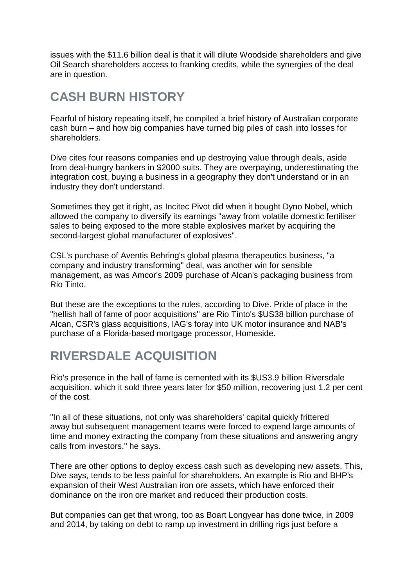issues with the \$11.6 billion deal is that it will dilute Woodside shareholders and give Oil Search shareholders access to franking credits, while the synergies of the deal are in question.

# **CASH BURN HISTORY**

Fearful of history repeating itself, he compiled a brief history of Australian corporate cash burn – and how big companies have turned big piles of cash into losses for shareholders.

Dive cites four reasons companies end up destroying value through deals, aside from deal-hungry bankers in \$2000 suits. They are overpaying, underestimating the integration cost, buying a business in a geography they don't understand or in an industry they don't understand.

Sometimes they get it right, as Incitec Pivot did when it bought Dyno Nobel, which allowed the company to diversify its earnings "away from volatile domestic fertiliser sales to being exposed to the more stable explosives market by acquiring the second-largest global manufacturer of explosives".

CSL's purchase of Aventis Behring's global plasma therapeutics business, "a company and industry transforming" deal, was another win for sensible management, as was Amcor's 2009 purchase of Alcan's packaging business from Rio Tinto.

But these are the exceptions to the rules, according to Dive. Pride of place in the "hellish hall of fame of poor acquisitions" are Rio Tinto's \$US38 billion purchase of Alcan, CSR's glass acquisitions, IAG's foray into UK motor insurance and NAB's purchase of a Florida-based mortgage processor, Homeside.

# **RIVERSDALE ACQUISITION**

Rio's presence in the hall of fame is cemented with its \$US3.9 billion Riversdale acquisition, which it sold three years later for \$50 million, recovering just 1.2 per cent of the cost.

"In all of these situations, not only was shareholders' capital quickly frittered away but subsequent management teams were forced to expend large amounts of time and money extracting the company from these situations and answering angry calls from investors," he says.

There are other options to deploy excess cash such as developing new assets. This, Dive says, tends to be less painful for shareholders. An example is Rio and BHP's expansion of their West Australian iron ore assets, which have enforced their dominance on the iron ore market and reduced their production costs.

But companies can get that wrong, too as Boart Longyear has done twice, in 2009 and 2014, by taking on debt to ramp up investment in drilling rigs just before a